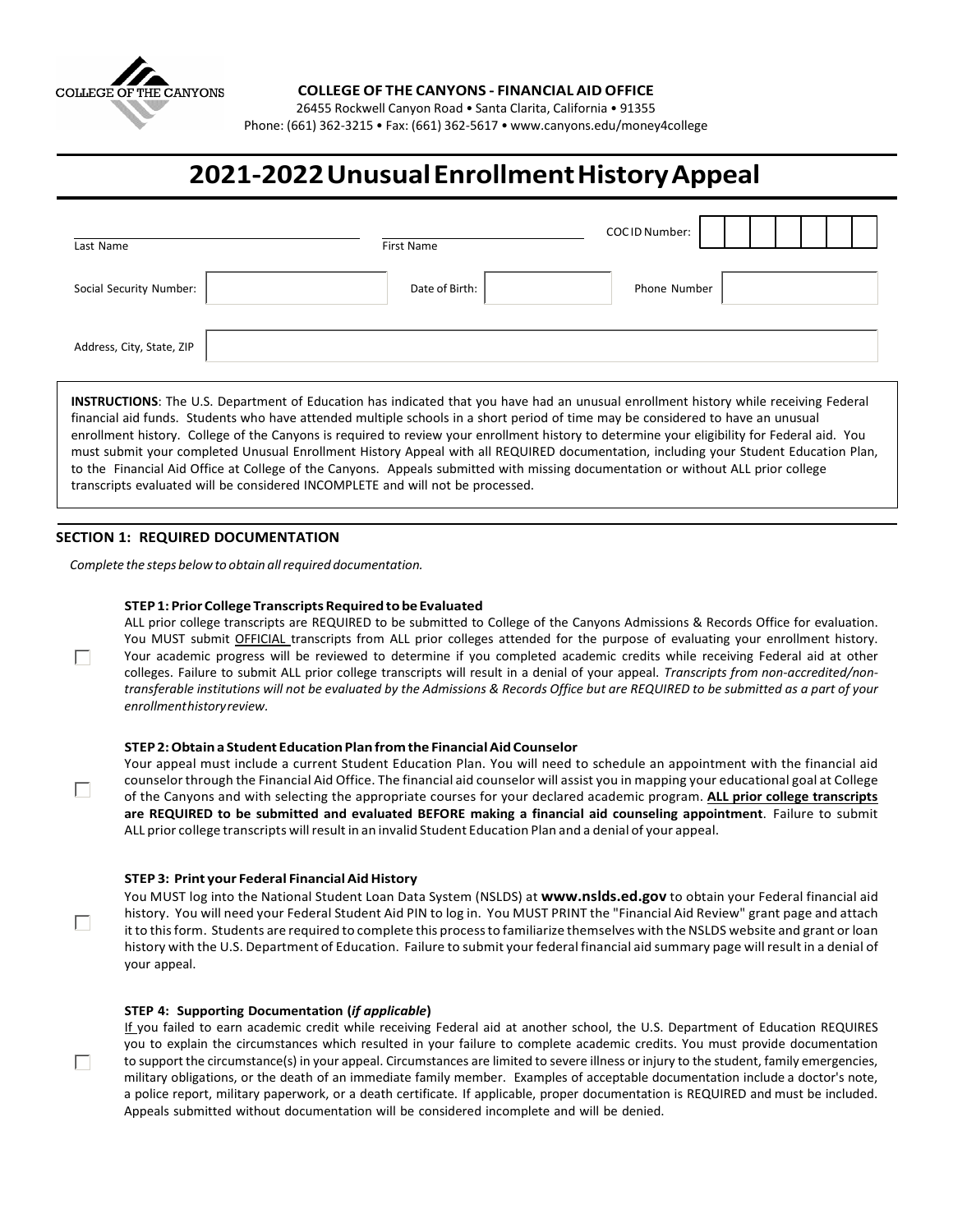

## **COLLEGE OF THE CANYONS - FINANCIAL AID OFFICE**

26455 Rockwell Canyon Road • Santa Clarita, California • 91355

Phone: (661) 362-3215 • Fax: (661) 362-5617 [• www.canyons.edu/money4college](http://www.canyons.edu/money4college)

# **2021-2022UnusualEnrollmentHistoryAppeal**

| Last Name                 | First Name     | COCID Number: |
|---------------------------|----------------|---------------|
| Social Security Number:   | Date of Birth: | Phone Number  |
| Address, City, State, ZIP |                |               |

**INSTRUCTIONS**: The U.S. Department of Education has indicated that you have had an unusual enrollment history while receiving Federal financial aid funds. Students who have attended multiple schools in a short period of time may be considered to have an unusual enrollment history. College of the Canyons is required to review your enrollment history to determine your eligibility for Federal aid. You must submit your completed Unusual Enrollment History Appeal with all REQUIRED documentation, including your Student Education Plan, to the Financial Aid Office at College of the Canyons. Appeals submitted with missing documentation or without ALL prior college transcripts evaluated will be considered INCOMPLETE and will not be processed.

## **SECTION 1: REQUIRED DOCUMENTATION**

 $\Box$ 

 $\Box$ 

 $\Box$ 

 $\Box$ 

*Complete the steps below to obtain allrequired documentation.*

## **STEP 1: PriorCollege TranscriptsRequiredtobe Evaluated**

ALL prior college transcripts are REQUIRED to be submitted to College of the Canyons Admissions & Records Office for evaluation. You MUST submit OFFICIAL transcripts from ALL prior colleges attended for the purpose of evaluating your enrollment history. Your academic progress will be reviewed to determine if you completed academic credits while receiving Federal aid at other colleges. Failure to submit ALL prior college transcripts will result in a denial of your appeal. *Transcripts from non-accredited/non*transferable institutions will not be evaluated by the Admissions & Records Office but are REQUIRED to be submitted as a part of your *enrollmenthistoryreview.*

#### **STEP 2:Obtain a Student EducationPlanfromthe FinancialAidCounselor**

Your appeal must include a current Student Education Plan. You will need to schedule an appointment with the financial aid counselorthrough the Financial Aid Office. The financial aid counselor will assist you in mapping your educational goal at College of the Canyons and with selecting the appropriate courses for your declared academic program. **ALL prior college transcripts are REQUIRED to be submitted and evaluated BEFORE making a financial aid counseling appointment**. Failure to submit ALL prior college transcripts willresult in an invalid Student Education Plan and a denial of your appeal.

## **STEP 3: Print your Federal FinancialAidHistory**

You MUST log into the National Student Loan Data System (NSLDS) at **[www.nslds.ed.gov](http://www.nslds.ed.gov/)** to obtain your Federal financial aid history. You will need your Federal Student Aid PIN to log in. You MUST PRINT the "Financial Aid Review" grant page and attach it to thisform. Students are required to complete this processto familiarize themselves with the NSLDS website and grant or loan history with the U.S. Department of Education. Failure to submit your federal financial aid summary page willresult in a denial of your appeal.

#### **STEP 4: Supporting Documentation (***if applicable***)**

If you failed to earn academic credit while receiving Federal aid at another school, the U.S. Department of Education REQUIRES you to explain the circumstances which resulted in your failure to complete academic credits. You must provide documentation to support the circumstance(s) in your appeal. Circumstances are limited to severe illness or injury to the student, family emergencies, military obligations, or the death of an immediate family member. Examples of acceptable documentation include a doctor's note, a police report, military paperwork, or a death certificate. If applicable, proper documentation is REQUIRED and must be included. Appeals submitted without documentation will be considered incomplete and will be denied.